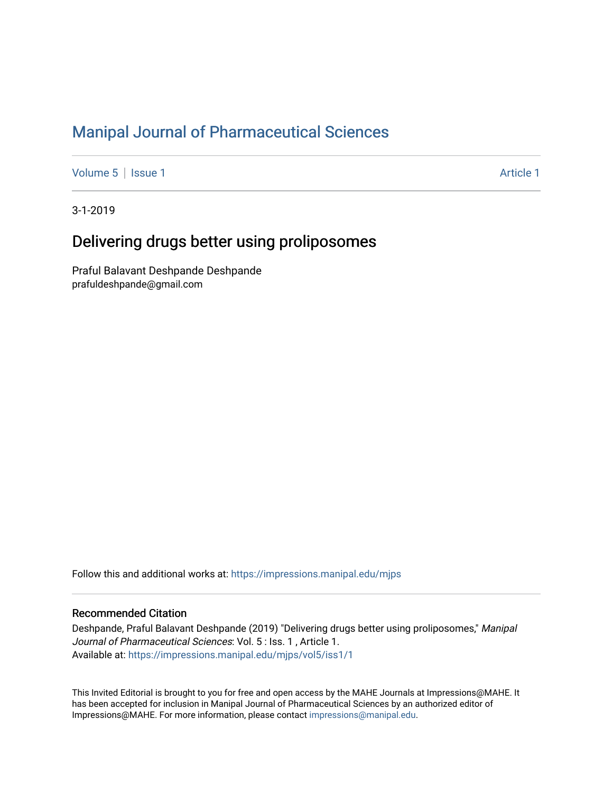## [Manipal Journal of Pharmaceutical Sciences](https://impressions.manipal.edu/mjps)

[Volume 5](https://impressions.manipal.edu/mjps/vol5) | [Issue 1](https://impressions.manipal.edu/mjps/vol5/iss1) Article 1

3-1-2019

# Delivering drugs better using proliposomes

Praful Balavant Deshpande Deshpande prafuldeshpande@gmail.com

Follow this and additional works at: [https://impressions.manipal.edu/mjps](https://impressions.manipal.edu/mjps?utm_source=impressions.manipal.edu%2Fmjps%2Fvol5%2Fiss1%2F1&utm_medium=PDF&utm_campaign=PDFCoverPages)

### Recommended Citation

Deshpande, Praful Balavant Deshpande (2019) "Delivering drugs better using proliposomes," Manipal Journal of Pharmaceutical Sciences: Vol. 5 : Iss. 1 , Article 1. Available at: [https://impressions.manipal.edu/mjps/vol5/iss1/1](https://impressions.manipal.edu/mjps/vol5/iss1/1?utm_source=impressions.manipal.edu%2Fmjps%2Fvol5%2Fiss1%2F1&utm_medium=PDF&utm_campaign=PDFCoverPages)

This Invited Editorial is brought to you for free and open access by the MAHE Journals at Impressions@MAHE. It has been accepted for inclusion in Manipal Journal of Pharmaceutical Sciences by an authorized editor of Impressions@MAHE. For more information, please contact [impressions@manipal.edu](mailto:impressions@manipal.edu).